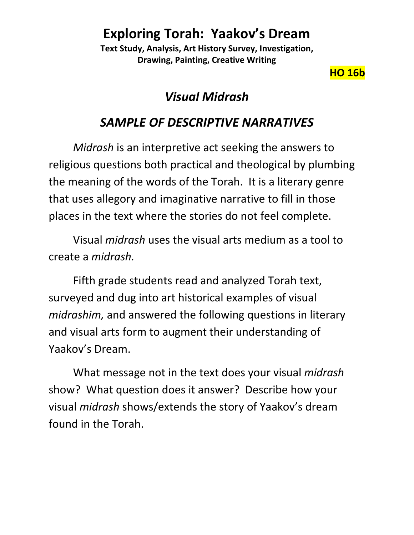**Text Study, Analysis, Art History Survey, Investigation, Drawing, Painting, Creative Writing**

**HO 16b**

# *Visual Midrash*

# *SAMPLE OF DESCRIPTIVE NARRATIVES*

*Midrash* is an interpretive act seeking the answers to religious questions both practical and theological by plumbing the meaning of the words of the Torah. It is a literary genre that uses allegory and imaginative narrative to fill in those places in the text where the stories do not feel complete.

Visual *midrash* uses the visual arts medium as a tool to create a *midrash.* 

Fifth grade students read and analyzed Torah text, surveyed and dug into art historical examples of visual *midrashim,* and answered the following questions in literary and visual arts form to augment their understanding of Yaakov's Dream.

What message not in the text does your visual *midrash* show? What question does it answer? Describe how your visual *midrash* shows/extends the story of Yaakov's dream found in the Torah.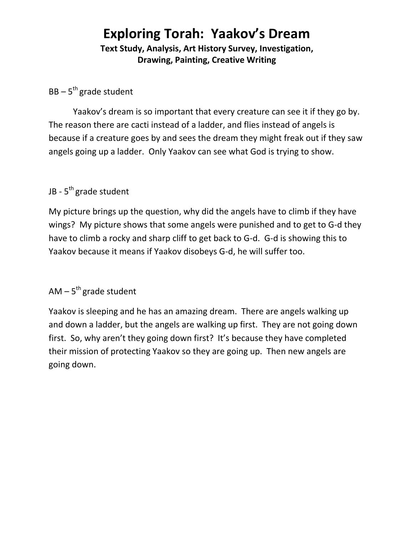**Text Study, Analysis, Art History Survey, Investigation, Drawing, Painting, Creative Writing**

#### BB – 5<sup>th</sup> grade student

Yaakov's dream is so important that every creature can see it if they go by. The reason there are cacti instead of a ladder, and flies instead of angels is because if a creature goes by and sees the dream they might freak out if they saw angels going up a ladder. Only Yaakov can see what God is trying to show.

### JB - 5<sup>th</sup> grade student

My picture brings up the question, why did the angels have to climb if they have wings? My picture shows that some angels were punished and to get to G-d they have to climb a rocky and sharp cliff to get back to G-d. G-d is showing this to Yaakov because it means if Yaakov disobeys G-d, he will suffer too.

### AM – 5<sup>th</sup> grade student

Yaakov is sleeping and he has an amazing dream. There are angels walking up and down a ladder, but the angels are walking up first. They are not going down first. So, why aren't they going down first? It's because they have completed their mission of protecting Yaakov so they are going up. Then new angels are going down.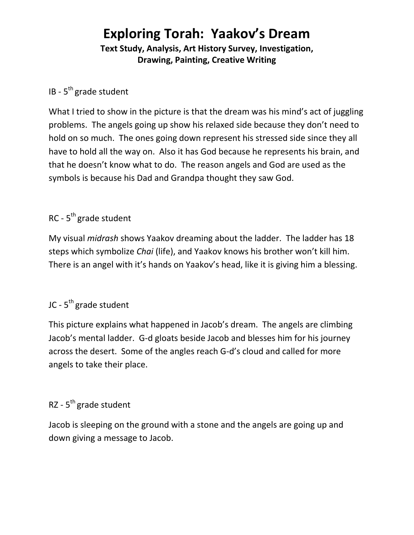**Text Study, Analysis, Art History Survey, Investigation, Drawing, Painting, Creative Writing**

## IB - 5<sup>th</sup> grade student

What I tried to show in the picture is that the dream was his mind's act of juggling problems. The angels going up show his relaxed side because they don't need to hold on so much. The ones going down represent his stressed side since they all have to hold all the way on. Also it has God because he represents his brain, and that he doesn't know what to do. The reason angels and God are used as the symbols is because his Dad and Grandpa thought they saw God.

## RC - 5<sup>th</sup> grade student

My visual *midrash* shows Yaakov dreaming about the ladder. The ladder has 18 steps which symbolize *Chai* (life), and Yaakov knows his brother won't kill him. There is an angel with it's hands on Yaakov's head, like it is giving him a blessing.

### JC - 5<sup>th</sup> grade student

This picture explains what happened in Jacob's dream. The angels are climbing Jacob's mental ladder. G-d gloats beside Jacob and blesses him for his journey across the desert. Some of the angles reach G-d's cloud and called for more angels to take their place.

# RZ - 5<sup>th</sup> grade student

Jacob is sleeping on the ground with a stone and the angels are going up and down giving a message to Jacob.